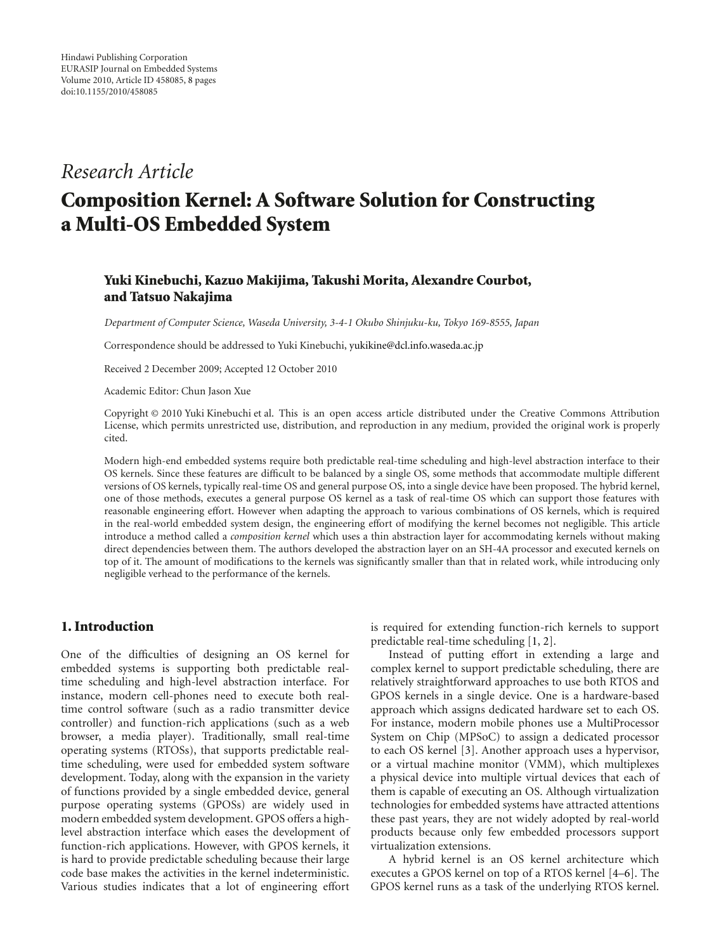## *Research Article*

# **Composition Kernel: A Software Solution for Constructing a Multi-OS Embedded System**

## **Yuki Kinebuchi, Kazuo Makijima, Takushi Morita, Alexandre Courbot, and Tatsuo Nakajima**

*Department of Computer Science, Waseda University, 3-4-1 Okubo Shinjuku-ku, Tokyo 169-8555, Japan*

Correspondence should be addressed to Yuki Kinebuchi, yukikine@dcl.info.waseda.ac.jp

Received 2 December 2009; Accepted 12 October 2010

Academic Editor: Chun Jason Xue

Copyright © 2010 Yuki Kinebuchi et al. This is an open access article distributed under the Creative Commons Attribution License, which permits unrestricted use, distribution, and reproduction in any medium, provided the original work is properly cited.

Modern high-end embedded systems require both predictable real-time scheduling and high-level abstraction interface to their OS kernels. Since these features are difficult to be balanced by a single OS, some methods that accommodate multiple different versions of OS kernels, typically real-time OS and general purpose OS, into a single device have been proposed. The hybrid kernel, one of those methods, executes a general purpose OS kernel as a task of real-time OS which can support those features with reasonable engineering effort. However when adapting the approach to various combinations of OS kernels, which is required in the real-world embedded system design, the engineering effort of modifying the kernel becomes not negligible. This article introduce a method called a *composition kernel* which uses a thin abstraction layer for accommodating kernels without making direct dependencies between them. The authors developed the abstraction layer on an SH-4A processor and executed kernels on top of it. The amount of modifications to the kernels was significantly smaller than that in related work, while introducing only negligible verhead to the performance of the kernels.

## **1. Introduction**

One of the difficulties of designing an OS kernel for embedded systems is supporting both predictable realtime scheduling and high-level abstraction interface. For instance, modern cell-phones need to execute both realtime control software (such as a radio transmitter device controller) and function-rich applications (such as a web browser, a media player). Traditionally, small real-time operating systems (RTOSs), that supports predictable realtime scheduling, were used for embedded system software development. Today, along with the expansion in the variety of functions provided by a single embedded device, general purpose operating systems (GPOSs) are widely used in modern embedded system development. GPOS offers a highlevel abstraction interface which eases the development of function-rich applications. However, with GPOS kernels, it is hard to provide predictable scheduling because their large code base makes the activities in the kernel indeterministic. Various studies indicates that a lot of engineering effort

is required for extending function-rich kernels to support predictable real-time scheduling [1, 2].

Instead of putting effort in extending a large and complex kernel to support predictable scheduling, there are relatively straightforward approaches to use both RTOS and GPOS kernels in a single device. One is a hardware-based approach which assigns dedicated hardware set to each OS. For instance, modern mobile phones use a MultiProcessor System on Chip (MPSoC) to assign a dedicated processor to each OS kernel [3]. Another approach uses a hypervisor, or a virtual machine monitor (VMM), which multiplexes a physical device into multiple virtual devices that each of them is capable of executing an OS. Although virtualization technologies for embedded systems have attracted attentions these past years, they are not widely adopted by real-world products because only few embedded processors support virtualization extensions.

A hybrid kernel is an OS kernel architecture which executes a GPOS kernel on top of a RTOS kernel [4–6]. The GPOS kernel runs as a task of the underlying RTOS kernel.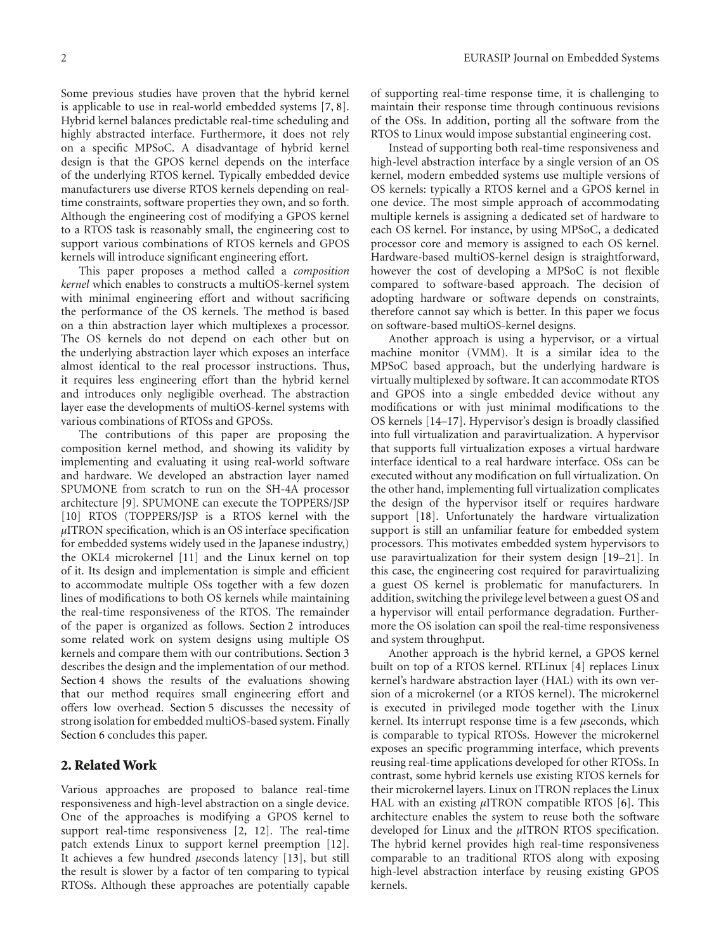Some previous studies have proven that the hybrid kernel is applicable to use in real-world embedded systems [7, 8]. Hybrid kernel balances predictable real-time scheduling and highly abstracted interface. Furthermore, it does not rely on a specific MPSoC. A disadvantage of hybrid kernel design is that the GPOS kernel depends on the interface of the underlying RTOS kernel. Typically embedded device manufacturers use diverse RTOS kernels depending on realtime constraints, software properties they own, and so forth. Although the engineering cost of modifying a GPOS kernel to a RTOS task is reasonably small, the engineering cost to support various combinations of RTOS kernels and GPOS kernels will introduce significant engineering effort.

This paper proposes a method called a *composition kernel* which enables to constructs a multiOS-kernel system with minimal engineering effort and without sacrificing the performance of the OS kernels. The method is based on a thin abstraction layer which multiplexes a processor. The OS kernels do not depend on each other but on the underlying abstraction layer which exposes an interface almost identical to the real processor instructions. Thus, it requires less engineering effort than the hybrid kernel and introduces only negligible overhead. The abstraction layer ease the developments of multiOS-kernel systems with various combinations of RTOSs and GPOSs.

The contributions of this paper are proposing the composition kernel method, and showing its validity by implementing and evaluating it using real-world software and hardware. We developed an abstraction layer named SPUMONE from scratch to run on the SH-4A processor architecture [9]. SPUMONE can execute the TOPPERS/JSP [10] RTOS (TOPPERS/JSP is a RTOS kernel with the *µ*ITRON specification, which is an OS interface specification for embedded systems widely used in the Japanese industry,) the OKL4 microkernel [11] and the Linux kernel on top of it. Its design and implementation is simple and efficient to accommodate multiple OSs together with a few dozen lines of modifications to both OS kernels while maintaining the real-time responsiveness of the RTOS. The remainder of the paper is organized as follows. Section 2 introduces some related work on system designs using multiple OS kernels and compare them with our contributions. Section 3 describes the design and the implementation of our method. Section 4 shows the results of the evaluations showing that our method requires small engineering effort and offers low overhead. Section 5 discusses the necessity of strong isolation for embedded multiOS-based system. Finally Section 6 concludes this paper.

## **2. Related Work**

Various approaches are proposed to balance real-time responsiveness and high-level abstraction on a single device. One of the approaches is modifying a GPOS kernel to support real-time responsiveness [2, 12]. The real-time patch extends Linux to support kernel preemption [12]. It achieves a few hundred *µseconds* latency [13], but still the result is slower by a factor of ten comparing to typical RTOSs. Although these approaches are potentially capable of supporting real-time response time, it is challenging to maintain their response time through continuous revisions of the OSs. In addition, porting all the software from the RTOS to Linux would impose substantial engineering cost.

Instead of supporting both real-time responsiveness and high-level abstraction interface by a single version of an OS kernel, modern embedded systems use multiple versions of OS kernels: typically a RTOS kernel and a GPOS kernel in one device. The most simple approach of accommodating multiple kernels is assigning a dedicated set of hardware to each OS kernel. For instance, by using MPSoC, a dedicated processor core and memory is assigned to each OS kernel. Hardware-based multiOS-kernel design is straightforward, however the cost of developing a MPSoC is not flexible compared to software-based approach. The decision of adopting hardware or software depends on constraints, therefore cannot say which is better. In this paper we focus on software-based multiOS-kernel designs.

Another approach is using a hypervisor, or a virtual machine monitor (VMM). It is a similar idea to the MPSoC based approach, but the underlying hardware is virtually multiplexed by software. It can accommodate RTOS and GPOS into a single embedded device without any modifications or with just minimal modifications to the OS kernels [14–17]. Hypervisor's design is broadly classified into full virtualization and paravirtualization. A hypervisor that supports full virtualization exposes a virtual hardware interface identical to a real hardware interface. OSs can be executed without any modification on full virtualization. On the other hand, implementing full virtualization complicates the design of the hypervisor itself or requires hardware support [18]. Unfortunately the hardware virtualization support is still an unfamiliar feature for embedded system processors. This motivates embedded system hypervisors to use paravirtualization for their system design [19–21]. In this case, the engineering cost required for paravirtualizing a guest OS kernel is problematic for manufacturers. In addition, switching the privilege level between a guest OS and a hypervisor will entail performance degradation. Furthermore the OS isolation can spoil the real-time responsiveness and system throughput.

Another approach is the hybrid kernel, a GPOS kernel built on top of a RTOS kernel. RTLinux [4] replaces Linux kernel's hardware abstraction layer (HAL) with its own version of a microkernel (or a RTOS kernel). The microkernel is executed in privileged mode together with the Linux kernel. Its interrupt response time is a few *µ*seconds, which is comparable to typical RTOSs. However the microkernel exposes an specific programming interface, which prevents reusing real-time applications developed for other RTOSs. In contrast, some hybrid kernels use existing RTOS kernels for their microkernel layers. Linux on ITRON replaces the Linux HAL with an existing  $\mu$ ITRON compatible RTOS [6]. This architecture enables the system to reuse both the software developed for Linux and the  $\mu$ ITRON RTOS specification. The hybrid kernel provides high real-time responsiveness comparable to an traditional RTOS along with exposing high-level abstraction interface by reusing existing GPOS kernels.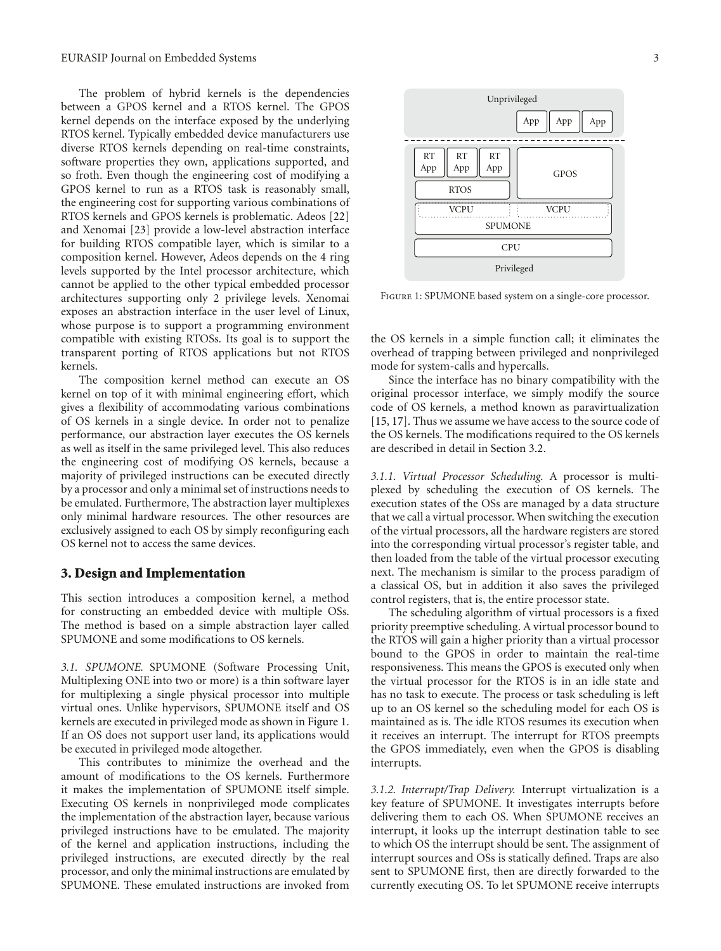#### EURASIP Journal on Embedded Systems 3

The problem of hybrid kernels is the dependencies between a GPOS kernel and a RTOS kernel. The GPOS kernel depends on the interface exposed by the underlying RTOS kernel. Typically embedded device manufacturers use diverse RTOS kernels depending on real-time constraints, software properties they own, applications supported, and so froth. Even though the engineering cost of modifying a GPOS kernel to run as a RTOS task is reasonably small, the engineering cost for supporting various combinations of RTOS kernels and GPOS kernels is problematic. Adeos [22] and Xenomai [23] provide a low-level abstraction interface for building RTOS compatible layer, which is similar to a composition kernel. However, Adeos depends on the 4 ring levels supported by the Intel processor architecture, which cannot be applied to the other typical embedded processor architectures supporting only 2 privilege levels. Xenomai exposes an abstraction interface in the user level of Linux, whose purpose is to support a programming environment compatible with existing RTOSs. Its goal is to support the transparent porting of RTOS applications but not RTOS kernels.

The composition kernel method can execute an OS kernel on top of it with minimal engineering effort, which gives a flexibility of accommodating various combinations of OS kernels in a single device. In order not to penalize performance, our abstraction layer executes the OS kernels as well as itself in the same privileged level. This also reduces the engineering cost of modifying OS kernels, because a majority of privileged instructions can be executed directly by a processor and only a minimal set of instructions needs to be emulated. Furthermore, The abstraction layer multiplexes only minimal hardware resources. The other resources are exclusively assigned to each OS by simply reconfiguring each OS kernel not to access the same devices.

#### **3. Design and Implementation**

This section introduces a composition kernel, a method for constructing an embedded device with multiple OSs. The method is based on a simple abstraction layer called SPUMONE and some modifications to OS kernels.

*3.1. SPUMONE.* SPUMONE (Software Processing Unit, Multiplexing ONE into two or more) is a thin software layer for multiplexing a single physical processor into multiple virtual ones. Unlike hypervisors, SPUMONE itself and OS kernels are executed in privileged mode as shown in Figure 1. If an OS does not support user land, its applications would be executed in privileged mode altogether.

This contributes to minimize the overhead and the amount of modifications to the OS kernels. Furthermore it makes the implementation of SPUMONE itself simple. Executing OS kernels in nonprivileged mode complicates the implementation of the abstraction layer, because various privileged instructions have to be emulated. The majority of the kernel and application instructions, including the privileged instructions, are executed directly by the real processor, and only the minimal instructions are emulated by SPUMONE. These emulated instructions are invoked from



Figure 1: SPUMONE based system on a single-core processor.

the OS kernels in a simple function call; it eliminates the overhead of trapping between privileged and nonprivileged mode for system-calls and hypercalls.

Since the interface has no binary compatibility with the original processor interface, we simply modify the source code of OS kernels, a method known as paravirtualization [15, 17]. Thus we assume we have access to the source code of the OS kernels. The modifications required to the OS kernels are described in detail in Section 3.2.

*3.1.1. Virtual Processor Scheduling.* A processor is multiplexed by scheduling the execution of OS kernels. The execution states of the OSs are managed by a data structure that we call a virtual processor. When switching the execution of the virtual processors, all the hardware registers are stored into the corresponding virtual processor's register table, and then loaded from the table of the virtual processor executing next. The mechanism is similar to the process paradigm of a classical OS, but in addition it also saves the privileged control registers, that is, the entire processor state.

The scheduling algorithm of virtual processors is a fixed priority preemptive scheduling. A virtual processor bound to the RTOS will gain a higher priority than a virtual processor bound to the GPOS in order to maintain the real-time responsiveness. This means the GPOS is executed only when the virtual processor for the RTOS is in an idle state and has no task to execute. The process or task scheduling is left up to an OS kernel so the scheduling model for each OS is maintained as is. The idle RTOS resumes its execution when it receives an interrupt. The interrupt for RTOS preempts the GPOS immediately, even when the GPOS is disabling interrupts.

*3.1.2. Interrupt/Trap Delivery.* Interrupt virtualization is a key feature of SPUMONE. It investigates interrupts before delivering them to each OS. When SPUMONE receives an interrupt, it looks up the interrupt destination table to see to which OS the interrupt should be sent. The assignment of interrupt sources and OSs is statically defined. Traps are also sent to SPUMONE first, then are directly forwarded to the currently executing OS. To let SPUMONE receive interrupts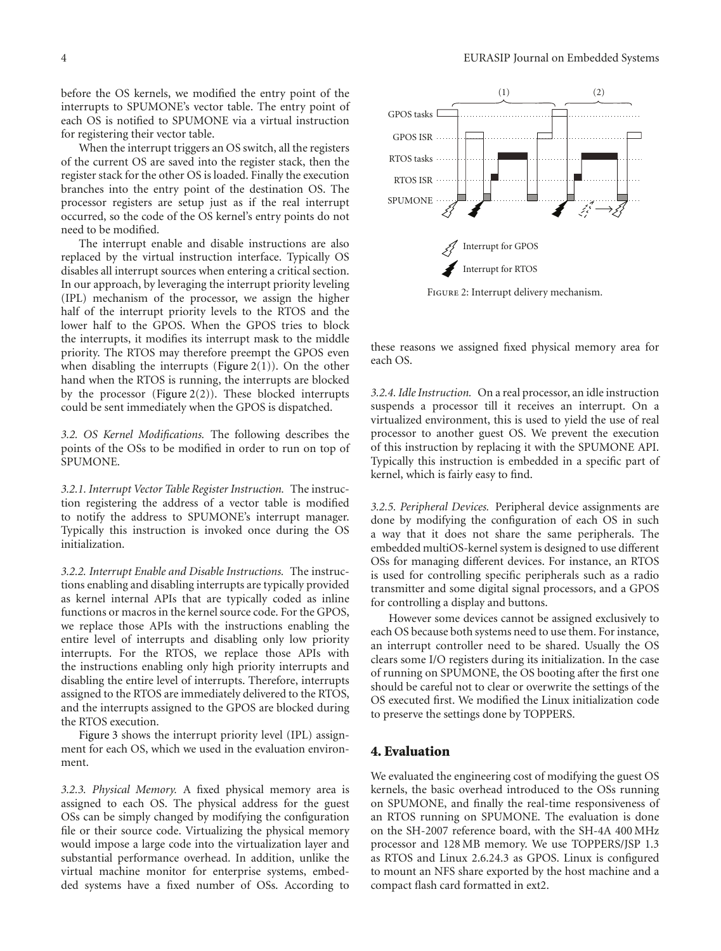before the OS kernels, we modified the entry point of the interrupts to SPUMONE's vector table. The entry point of each OS is notified to SPUMONE via a virtual instruction for registering their vector table.

When the interrupt triggers an OS switch, all the registers of the current OS are saved into the register stack, then the register stack for the other OS is loaded. Finally the execution branches into the entry point of the destination OS. The processor registers are setup just as if the real interrupt occurred, so the code of the OS kernel's entry points do not need to be modified.

The interrupt enable and disable instructions are also replaced by the virtual instruction interface. Typically OS disables all interrupt sources when entering a critical section. In our approach, by leveraging the interrupt priority leveling (IPL) mechanism of the processor, we assign the higher half of the interrupt priority levels to the RTOS and the lower half to the GPOS. When the GPOS tries to block the interrupts, it modifies its interrupt mask to the middle priority. The RTOS may therefore preempt the GPOS even when disabling the interrupts (Figure 2(1)). On the other hand when the RTOS is running, the interrupts are blocked by the processor (Figure  $2(2)$ ). These blocked interrupts could be sent immediately when the GPOS is dispatched.

*3.2. OS Kernel Modifications.* The following describes the points of the OSs to be modified in order to run on top of SPUMONE.

*3.2.1. Interrupt Vector Table Register Instruction.* The instruction registering the address of a vector table is modified to notify the address to SPUMONE's interrupt manager. Typically this instruction is invoked once during the OS initialization.

*3.2.2. Interrupt Enable and Disable Instructions.* The instructions enabling and disabling interrupts are typically provided as kernel internal APIs that are typically coded as inline functions or macros in the kernel source code. For the GPOS, we replace those APIs with the instructions enabling the entire level of interrupts and disabling only low priority interrupts. For the RTOS, we replace those APIs with the instructions enabling only high priority interrupts and disabling the entire level of interrupts. Therefore, interrupts assigned to the RTOS are immediately delivered to the RTOS, and the interrupts assigned to the GPOS are blocked during the RTOS execution.

Figure 3 shows the interrupt priority level (IPL) assignment for each OS, which we used in the evaluation environment.

*3.2.3. Physical Memory.* A fixed physical memory area is assigned to each OS. The physical address for the guest OSs can be simply changed by modifying the configuration file or their source code. Virtualizing the physical memory would impose a large code into the virtualization layer and substantial performance overhead. In addition, unlike the virtual machine monitor for enterprise systems, embedded systems have a fixed number of OSs. According to



Figure 2: Interrupt delivery mechanism.

these reasons we assigned fixed physical memory area for each OS.

*3.2.4. Idle Instruction.* On a real processor, an idle instruction suspends a processor till it receives an interrupt. On a virtualized environment, this is used to yield the use of real processor to another guest OS. We prevent the execution of this instruction by replacing it with the SPUMONE API. Typically this instruction is embedded in a specific part of kernel, which is fairly easy to find.

*3.2.5. Peripheral Devices.* Peripheral device assignments are done by modifying the configuration of each OS in such a way that it does not share the same peripherals. The embedded multiOS-kernel system is designed to use different OSs for managing different devices. For instance, an RTOS is used for controlling specific peripherals such as a radio transmitter and some digital signal processors, and a GPOS for controlling a display and buttons.

However some devices cannot be assigned exclusively to each OS because both systems need to use them. For instance, an interrupt controller need to be shared. Usually the OS clears some I/O registers during its initialization. In the case of running on SPUMONE, the OS booting after the first one should be careful not to clear or overwrite the settings of the OS executed first. We modified the Linux initialization code to preserve the settings done by TOPPERS.

#### **4. Evaluation**

We evaluated the engineering cost of modifying the guest OS kernels, the basic overhead introduced to the OSs running on SPUMONE, and finally the real-time responsiveness of an RTOS running on SPUMONE. The evaluation is done on the SH-2007 reference board, with the SH-4A 400 MHz processor and 128 MB memory. We use TOPPERS/JSP 1.3 as RTOS and Linux 2.6.24.3 as GPOS. Linux is configured to mount an NFS share exported by the host machine and a compact flash card formatted in ext2.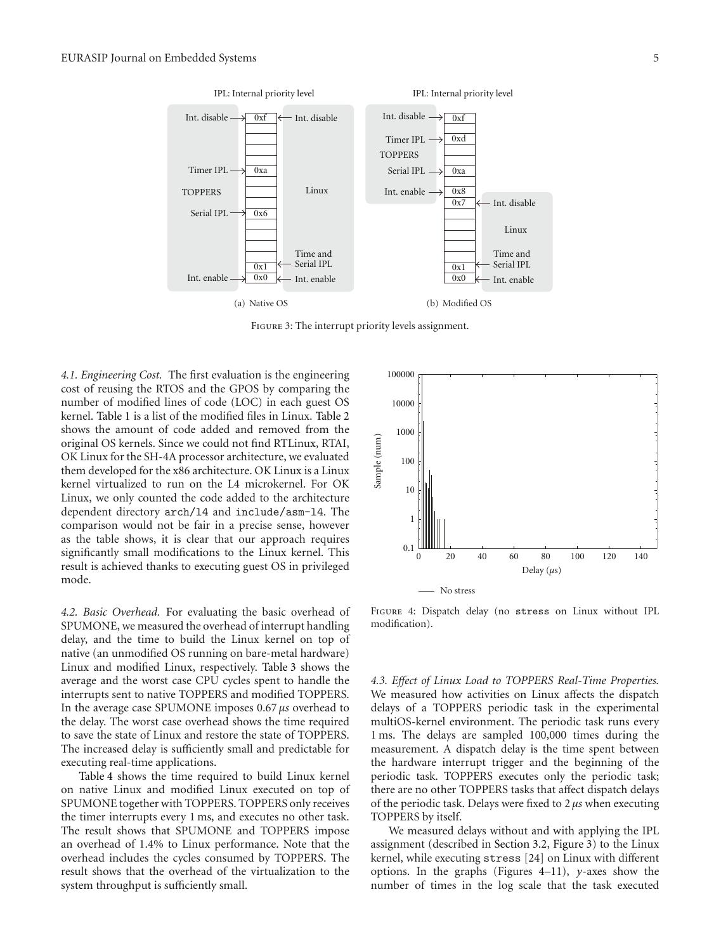

FIGURE 3: The interrupt priority levels assignment.

*4.1. Engineering Cost.* The first evaluation is the engineering cost of reusing the RTOS and the GPOS by comparing the number of modified lines of code (LOC) in each guest OS kernel. Table 1 is a list of the modified files in Linux. Table 2 shows the amount of code added and removed from the original OS kernels. Since we could not find RTLinux, RTAI, OK Linux for the SH-4A processor architecture, we evaluated them developed for the x86 architecture. OK Linux is a Linux kernel virtualized to run on the L4 microkernel. For OK Linux, we only counted the code added to the architecture dependent directory arch/l4 and include/asm-l4. The comparison would not be fair in a precise sense, however as the table shows, it is clear that our approach requires significantly small modifications to the Linux kernel. This result is achieved thanks to executing guest OS in privileged mode.

*4.2. Basic Overhead.* For evaluating the basic overhead of SPUMONE, we measured the overhead of interrupt handling delay, and the time to build the Linux kernel on top of native (an unmodified OS running on bare-metal hardware) Linux and modified Linux, respectively. Table 3 shows the average and the worst case CPU cycles spent to handle the interrupts sent to native TOPPERS and modified TOPPERS. In the average case SPUMONE imposes 0.67 *µs* overhead to the delay. The worst case overhead shows the time required to save the state of Linux and restore the state of TOPPERS. The increased delay is sufficiently small and predictable for executing real-time applications.

Table 4 shows the time required to build Linux kernel on native Linux and modified Linux executed on top of SPUMONE together with TOPPERS. TOPPERS only receives the timer interrupts every 1 ms, and executes no other task. The result shows that SPUMONE and TOPPERS impose an overhead of 1.4% to Linux performance. Note that the overhead includes the cycles consumed by TOPPERS. The result shows that the overhead of the virtualization to the system throughput is sufficiently small.



Figure 4: Dispatch delay (no stress on Linux without IPL modification).

*4.3. Effect of Linux Load to TOPPERS Real-Time Properties.* We measured how activities on Linux affects the dispatch delays of a TOPPERS periodic task in the experimental multiOS-kernel environment. The periodic task runs every 1 ms. The delays are sampled 100,000 times during the measurement. A dispatch delay is the time spent between the hardware interrupt trigger and the beginning of the periodic task. TOPPERS executes only the periodic task; there are no other TOPPERS tasks that affect dispatch delays of the periodic task. Delays were fixed to 2 *µs* when executing TOPPERS by itself.

We measured delays without and with applying the IPL assignment (described in Section 3.2, Figure 3) to the Linux kernel, while executing stress [24] on Linux with different options. In the graphs (Figures 4–11), *y*-axes show the number of times in the log scale that the task executed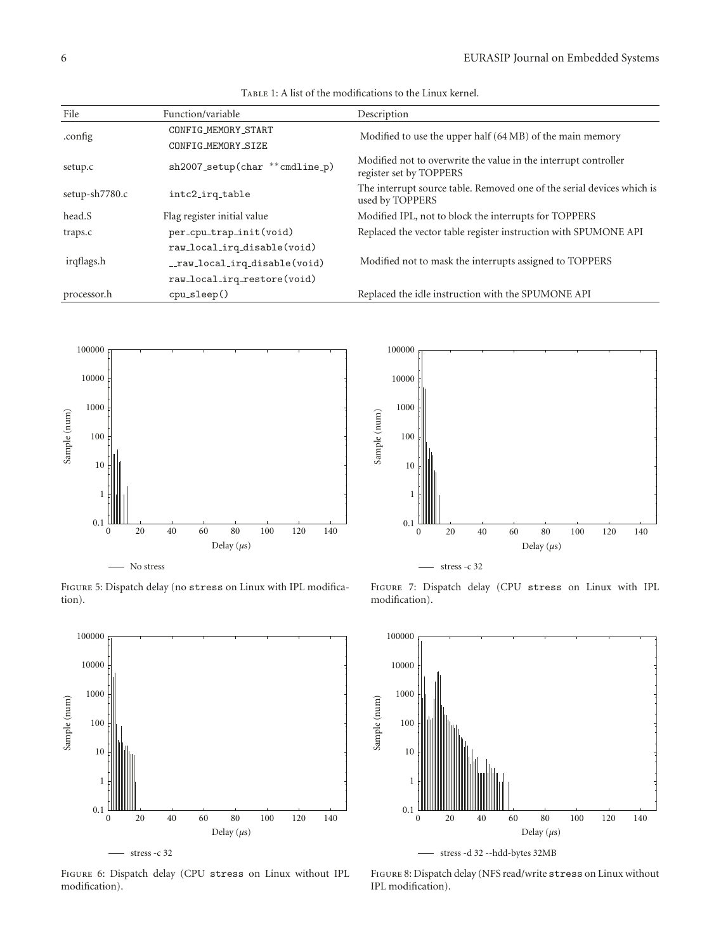| File           | Function/variable                                                                          | Description                                                                                |
|----------------|--------------------------------------------------------------------------------------------|--------------------------------------------------------------------------------------------|
| .config.       | CONFIG_MEMORY_START<br>CONFIG_MEMORY_SIZE                                                  | Modified to use the upper half (64 MB) of the main memory                                  |
| setup.c        | $sh2007$ _setup(char **cmdline_p)                                                          | Modified not to overwrite the value in the interrupt controller<br>register set by TOPPERS |
| setup-sh7780.c | intc2_irq_table                                                                            | The interrupt source table. Removed one of the serial devices which is<br>used by TOPPERS  |
| head.S         | Flag register initial value                                                                | Modified IPL, not to block the interrupts for TOPPERS                                      |
| traps.c        | per_cpu_trap_init(void)                                                                    | Replaced the vector table register instruction with SPUMONE API                            |
| irqflags.h     | raw_local_irq_disable(void)<br>_raw_local_irq_disable(void)<br>raw_local_irq_restore(void) | Modified not to mask the interrupts assigned to TOPPERS                                    |
| processor.h    | cpu.sleep()                                                                                | Replaced the idle instruction with the SPUMONE API                                         |

TABLE 1: A list of the modifications to the Linux kernel.



— No stress

Figure 5: Dispatch delay (no stress on Linux with IPL modification).



Figure 6: Dispatch delay (CPU stress on Linux without IPL modification).



Figure 7: Dispatch delay (CPU stress on Linux with IPL modification).



Figure 8: Dispatch delay (NFS read/write stress on Linux without IPL modification).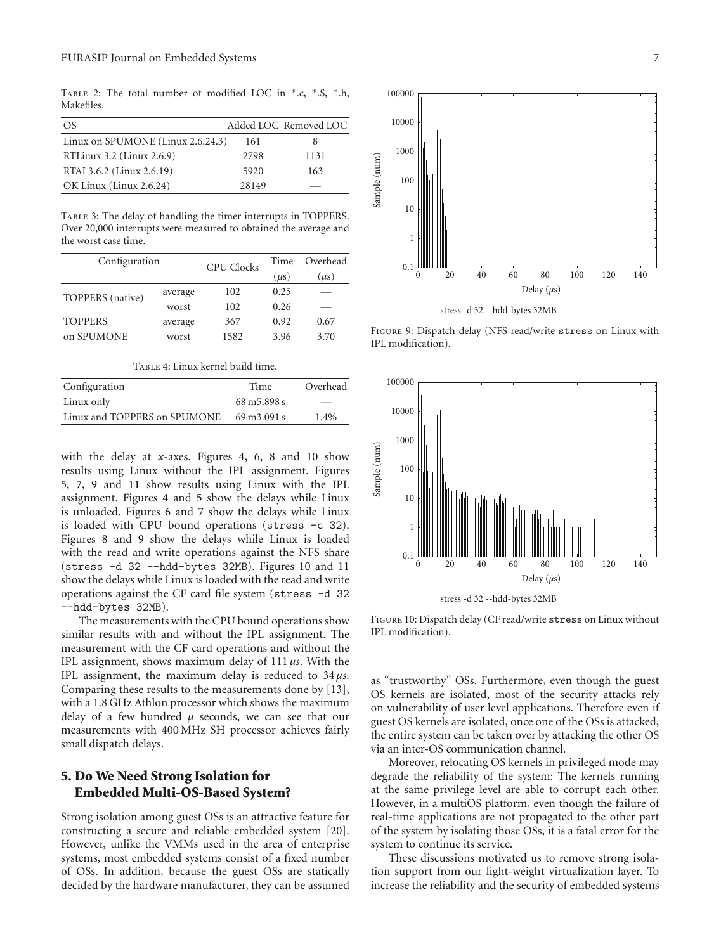Table 2: The total number of modified LOC in <sup>∗</sup>.c, <sup>∗</sup>.S, <sup>∗</sup>.h, Makefiles.

| <b>OS</b>                         |       | Added LOC Removed LOC |
|-----------------------------------|-------|-----------------------|
| Linux on SPUMONE (Linux 2.6.24.3) | 161   | 8                     |
| RTLinux 3.2 (Linux 2.6.9)         | 2798  | 1131                  |
| RTAI 3.6.2 (Linux 2.6.19)         | 5920  | 163                   |
| OK Linux (Linux 2.6.24)           | 28149 |                       |

Table 3: The delay of handling the timer interrupts in TOPPERS. Over 20,000 interrupts were measured to obtained the average and the worst case time.

| Configuration    |         | <b>CPU Clocks</b> | Time      | Overhead  |
|------------------|---------|-------------------|-----------|-----------|
|                  |         |                   | $(\mu s)$ | $(\mu s)$ |
| TOPPERS (native) | average | 102               | 0.25      |           |
|                  | worst   | 102               | 0.26      |           |
| <b>TOPPERS</b>   | average | 367               | 0.92      | 0.67      |
| on SPUMONE       | worst   | 1582              | 3.96      | 3.70      |
|                  |         |                   |           |           |

TABLE 4: Linux kernel build time.

| Configuration                | Time                      | Overhead |
|------------------------------|---------------------------|----------|
| Linux only                   | 68 m 5.898 s              |          |
| Linux and TOPPERS on SPUMONE | $69 \,\mathrm{m}$ 3.091 s | 1.4%     |

with the delay at *x*-axes. Figures 4, 6, 8 and 10 show results using Linux without the IPL assignment. Figures 5, 7, 9 and 11 show results using Linux with the IPL assignment. Figures 4 and 5 show the delays while Linux is unloaded. Figures 6 and 7 show the delays while Linux is loaded with CPU bound operations (stress -c 32). Figures 8 and 9 show the delays while Linux is loaded with the read and write operations against the NFS share (stress -d 32 --hdd-bytes 32MB). Figures 10 and 11 show the delays while Linux is loaded with the read and write operations against the CF card file system (stress -d 32 --hdd-bytes 32MB).

The measurements with the CPU bound operations show similar results with and without the IPL assignment. The measurement with the CF card operations and without the IPL assignment, shows maximum delay of 111 *µs*. With the IPL assignment, the maximum delay is reduced to 34 *µs*. Comparing these results to the measurements done by [13], with a 1.8 GHz Athlon processor which shows the maximum delay of a few hundred  $\mu$  seconds, we can see that our measurements with 400 MHz SH processor achieves fairly small dispatch delays.

## **5. Do We Need Strong Isolation for Embedded Multi-OS-Based System?**

Strong isolation among guest OSs is an attractive feature for constructing a secure and reliable embedded system [20]. However, unlike the VMMs used in the area of enterprise systems, most embedded systems consist of a fixed number of OSs. In addition, because the guest OSs are statically decided by the hardware manufacturer, they can be assumed



Figure 9: Dispatch delay (NFS read/write stress on Linux with IPL modification).



Figure 10: Dispatch delay (CF read/write stress on Linux without IPL modification).

as "trustworthy" OSs. Furthermore, even though the guest OS kernels are isolated, most of the security attacks rely on vulnerability of user level applications. Therefore even if guest OS kernels are isolated, once one of the OSs is attacked, the entire system can be taken over by attacking the other OS via an inter-OS communication channel.

Moreover, relocating OS kernels in privileged mode may degrade the reliability of the system: The kernels running at the same privilege level are able to corrupt each other. However, in a multiOS platform, even though the failure of real-time applications are not propagated to the other part of the system by isolating those OSs, it is a fatal error for the system to continue its service.

These discussions motivated us to remove strong isolation support from our light-weight virtualization layer. To increase the reliability and the security of embedded systems